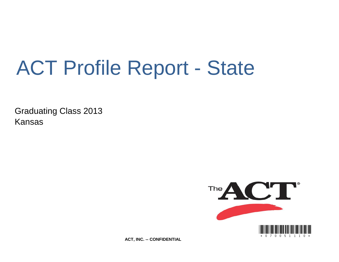# ACT Profile Report - State

Graduating Class 2013 Kansas



**ACT, INC. -- CONFIDENTIAL**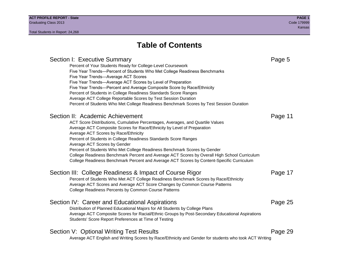# Section I: Executive Summary **Page 5** and the section I: Executive Summary Percent of Your Students Ready for College-Level Coursework Five Year Trends—Percent of Students Who Met College Readiness Benchmarks Five Year Trends—Average ACT Scores Five Year Trends—Average ACT Scores by Level of Preparation Five Year Trends—Percent and Average Composite Score by Race/Ethnicity Percent of Students in College Readiness Standards Score Ranges Average ACT College Reportable Scores by Test Session Duration Percent of Students Who Met College Readiness Benchmark Scores by Test Session Duration Section II: Academic Achievement **Page 11** Page 11 ACT Score Distributions, Cumulative Percentages, Averages, and Quartile Values Average ACT Composite Scores for Race/Ethnicity by Level of Preparation Average ACT Scores by Race/Ethnicity Percent of Students in College Readiness Standards Score Ranges Average ACT Scores by Gender Percent of Students Who Met College Readiness Benchmark Scores by Gender College Readiness Benchmark Percent and Average ACT Scores by Overall High School Curriculum College Readiness Benchmark Percent and Average ACT Scores by Content-Specific Curriculum Section III: College Readiness & Impact of Course Rigor Page 17 Percent of Students Who Met ACT College Readiness Benchmark Scores by Race/Ethnicity Average ACT Scores and Average ACT Score Changes by Common Course Patterns College Readiness Percents by Common Course Patterns Section IV: Career and Educational Aspirations **Page 25** Page 25 Distribution of Planned Educational Majors for All Students by College Plans Average ACT Composite Scores for Racial/Ethnic Groups by Post-Secondary Educational Aspirations Students' Score Report Preferences at Time of Testing Section V: Optional Writing Test Results **Page 29** Page 29 Average ACT English and Writing Scores by Race/Ethnicity and Gender for students who took ACT Writing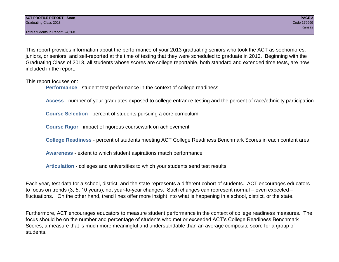This report provides information about the performance of your 2013 graduating seniors who took the ACT as sophomores, juniors, or seniors; and self-reported at the time of testing that they were scheduled to graduate in 2013. Beginning with the Graduating Class of 2013, all students whose scores are college reportable, both standard and extended time tests, are now included in the report.

This report focuses on:

**Performance** - student test performance in the context of college readiness

**Access** - number of your graduates exposed to college entrance testing and the percent of race/ethnicity participation

**Course Selection** - percent of students pursuing a core curriculum

**Course Rigor** - impact of rigorous coursework on achievement

**College Readiness** - percent of students meeting ACT College Readiness Benchmark Scores in each content area

**Awareness** - extent to which student aspirations match performance

**Articulation** - colleges and universities to which your students send test results

Each year, test data for a school, district, and the state represents a different cohort of students. ACT encourages educators to focus on trends (3, 5, 10 years), not year-to-year changes. Such changes can represent normal – even expected – fluctuations. On the other hand, trend lines offer more insight into what is happening in a school, district, or the state.

Furthermore, ACT encourages educators to measure student performance in the context of college readiness measures. The focus should be on the number and percentage of students who met or exceeded ACT's College Readiness Benchmark Scores, a measure that is much more meaningful and understandable than an average composite score for a group of students.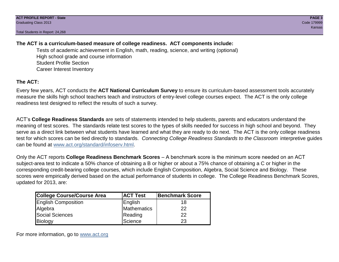# **The ACT is a curriculum-based measure of college readiness. ACT components include:**

Tests of academic achievement in English, math, reading, science, and writing (optional) High school grade and course information Student Profile Section Career Interest Inventory

# **The ACT:**

Every few years, ACT conducts the **ACT National Curriculum Survey** to ensure its curriculum-based assessment tools accurately measure the skills high school teachers teach and instructors of entry-level college courses expect. The ACT is the only college readiness test designed to reflect the results of such a survey.

ACT's **College Readiness Standards** are sets of statements intended to help students, parents and educators understand the meaning of test scores. The standards relate test scores to the types of skills needed for success in high school and beyond. They serve as a direct link between what students have learned and what they are ready to do next. The ACT is the only college readiness test for which scores can be tied directly to standards. *Connecting College Readiness Standards to the Classroom* interpretive guides can be found at www.act.org/standard/infoserv.html.

Only the ACT reports **College Readiness Benchmark Scores** – A benchmark score is the minimum score needed on an ACT subject-area test to indicate a 50% chance of obtaining a B or higher or about a 75% chance of obtaining a C or higher in the corresponding credit-bearing college courses, which include English Composition, Algebra, Social Science and Biology. These scores were empirically derived based on the actual performance of students in college. The College Readiness Benchmark Scores, updated for 2013, are:

| College Course/Course Area | <b>ACT Test</b> | <b>Benchmark Score</b> |
|----------------------------|-----------------|------------------------|
| <b>English Composition</b> | English         | 18                     |
| Algebra                    | Mathematics     | 22                     |
| <b>Social Sciences</b>     | Reading         | 22                     |
| Biology                    | Science         | 23                     |

For more information, go to www.act.org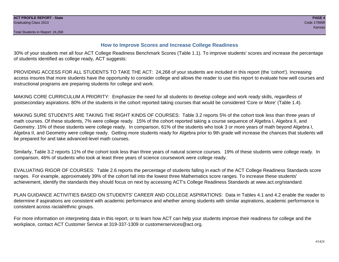# **How to Improve Scores and Increase College Readiness**

30% of your students met all four ACT College Readiness Benchmark Scores (Table 1.1). To improve students' scores and increase the percentage of students identified as college ready, ACT suggests:

PROVIDING ACCESS FOR ALL STUDENTS TO TAKE THE ACT: 24,268 of your students are included in this report (the 'cohort'). Increasing access insures that more students have the opportunity to consider college and allows the reader to use this report to evaluate how well courses and instructional programs are preparing students for college and work.

MAKING CORE CURRICULUM A PRIORITY: Emphasize the need for all students to develop college and work ready skills, regardless of postsecondary aspirations. 80% of the students in the cohort reported taking courses that would be considered 'Core or More' (Table 1.4).

MAKING SURE STUDENTS ARE TAKING THE RIGHT KINDS OF COURSES: Table 3.2 reports 5% of the cohort took less than three years of math courses. Of these students, 7% were college ready. 15% of the cohort reported taking a course sequence of Algebra I, Algebra II, and Geometry. 15% of these students were college ready. In comparison, 61% of the students who took 3 or more years of math beyond Algebra I, Algebra II, and Geometry were college ready. Getting more students ready for Algebra prior to 9th grade will increase the chances that students will be prepared for and take advanced-level math courses.

Similarly, Table 3.2 reports 11% of the cohort took less than three years of natural science courses. 19% of these students were college ready. In comparison, 46% of students who took at least three years of science coursework were college ready.

EVALUATING RIGOR OF COURSES: Table 2.6 reports the percentage of students falling in each of the ACT College Readiness Standards score ranges. For example, approximately 39% of the cohort fall into the lowest three Mathematics score ranges. To increase these students' achievement, identify the standards they should focus on next by accessing ACT's College Readiness Standards at www.act.org/standard.

PLAN GUIDANCE ACTIVITIES BASED ON STUDENTS' CAREER AND COLLEGE ASPIRATIONS: Data in Tables 4.1 and 4.2 enable the reader to determine if aspirations are consistent with academic performance and whether among students with similar aspirations, academic performance is consistent across racial/ethnic groups.

For more information on interpreting data in this report, or to learn how ACT can help your students improve their readiness for college and the workplace, contact ACT Customer Service at 319-337-1309 or customerservices@act.org.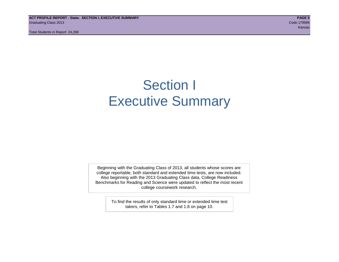**ACT PROFILE REPORT - State: SECTION I, EXECUTIVE SUMMARY PAGE 5** Graduating Class 2013 Code 179999

Total Students in Report: 24,268

ta kansas kansas kansas kansas kansas kansas kansas kansas kansas kansas kansas kansas kansas kansas kansas ka

# Section I Executive Summary

Beginning with the Graduating Class of 2013, all students whose scores are college reportable, both standard and extended time tests, are now included. Also beginning with the 2013 Graduating Class data, College Readiness Benchmarks for Reading and Science were updated to reflect the most recent college coursework research.

> To find the results of only standard time or extended time test takers, refer to Tables 1.7 and 1.8 on page 10.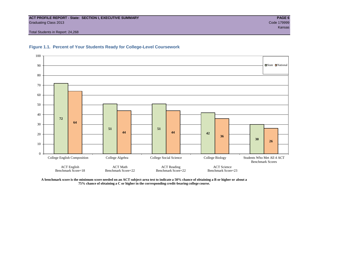#### **ACT PROFILE REPORT - State: SECTION I, EXECUTIVE SUMMARY PAGE 6** Graduating Class 2013 Code 179999

Total Students in Report: 24,268





**A benchmark score is the minimum score needed on an ACT subject-area test to indicate a 50% chance of obtaining a B or higher or about a 75% chance of obtaining a C or higher in the corresponding credit-bearing college course.**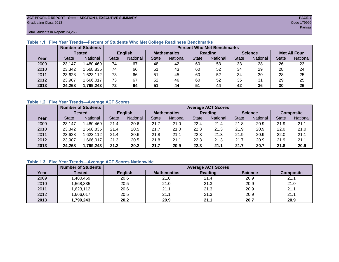#### **ACT PROFILE REPORT - State: SECTION I, EXECUTIVE SUMMARY PAGE 7** Graduating Class 2013 Code 179999

ta tana ang kabupatèn Kansas na Kabupatèn Kabupatèn Kabupatèn Kansas na Kansas na Kansas na Kansas

Total Students in Report: 24,268

|      |              | <b>Number of Students</b> | <b>Percent Who Met Benchmarks</b> |          |                    |          |              |          |                |          |                     |          |  |  |
|------|--------------|---------------------------|-----------------------------------|----------|--------------------|----------|--------------|----------|----------------|----------|---------------------|----------|--|--|
|      | Tested       |                           | <b>English</b>                    |          | <b>Mathematics</b> |          | Reading      |          | <b>Science</b> |          | <b>Met All Four</b> |          |  |  |
| Year | <b>State</b> | <b>National</b>           | <b>State</b>                      | National |                    | National | <b>State</b> | National | <b>State</b>   | National | <b>State</b>        | National |  |  |
| 2009 | 23,147       | 1,480,469                 | 74                                | 67       | 48                 | 42       | 60           | 53       | 33             | 28       | 26                  | 23       |  |  |
| 2010 | 23,342       | ,568,835                  | 74                                | 66       | 51                 | 43       | 60           | 52       | 34             | 29       | 28                  | 24       |  |  |
| 2011 | 23,628       | 1,623,112                 | 73                                | 66       | 51                 | 45       | 60           | 52       | 34             | 30       | 28                  | 25       |  |  |
| 2012 | 23,907       | 1,666,017                 | 73                                | 67       | 52                 | 46       | 60           | 52       | 35             | 31       | 29                  | 25       |  |  |
| 2013 | 24,268       | 1,799,243                 | 72                                | 64       | 51                 | 44       | 51           | 44       | 42             | 36       | 30                  | 26       |  |  |

# **Table 1.1. Five Year Trends—Percent of Students Who Met College Readiness Benchmarks**

#### **Table 1.2. Five Year Trends—Average ACT Scores**

|      |              | <b>Number of Students</b> |              | <b>Average ACT Scores</b> |                    |                 |                |                 |                |          |                  |          |  |  |
|------|--------------|---------------------------|--------------|---------------------------|--------------------|-----------------|----------------|-----------------|----------------|----------|------------------|----------|--|--|
|      |              | <b>Tested</b>             |              | <b>English</b>            | <b>Mathematics</b> |                 | <b>Reading</b> |                 | <b>Science</b> |          | <b>Composite</b> |          |  |  |
| Year | <b>State</b> | <b>National</b>           | <b>State</b> | National                  |                    | <b>National</b> | <b>State</b>   | <b>National</b> | <b>State</b>   | National | <b>State</b>     | National |  |  |
| 2009 | 23,147       | ,480,469                  | 21.4         | 20.6                      | 21.7               | 21.0            | 22.4           | 21.4            | 21.8           | 20.9     | 21.9             | 21.1     |  |  |
| 2010 | 23,342       | .568.835                  | 21.4         | 20.5                      | 21.7               | 21.0            | 22.3           | 21.3            | 21.9           | 20.9     | 22.0             | 21.0     |  |  |
| 2011 | 23,628       | .623,112                  | 21.4         | 20.6                      | 21.8               | 21.1            | 22.3           | 21.3            | 21.9           | 20.9     | 22.0             | 21.1     |  |  |
| 2012 | 23,907       | .666,017                  | 21.3         | 20.5                      | 21.8               | 21.1            | 22.3           | 21.3            | 21.7           | 20.9     | 21.9             | 21.1     |  |  |
| 2013 | 24,268       | ,799,243                  | 21.2         | 20.2                      | 21.7               | 20.9            | 22.3           | 21.1            | 21.7           | 20.7     | 21.8             | 20.9     |  |  |

### **Table 1.3. Five Year Trends—Average ACT Scores Nationwide**

|      | <b>Number of Students</b> |                | <b>Average ACT Scores</b> |         |                |                  |  |  |  |  |  |  |
|------|---------------------------|----------------|---------------------------|---------|----------------|------------------|--|--|--|--|--|--|
| Year | Tested                    | <b>English</b> | <b>Mathematics</b>        | Reading | <b>Science</b> | <b>Composite</b> |  |  |  |  |  |  |
| 2009 | ,480,469                  | 20.6           | 21.0                      | 21.4    | 20.9           | 21.1             |  |  |  |  |  |  |
| 2010 | ,568,835                  | 20.5           | 21.0                      | 21.3    | 20.9           | 21.0             |  |  |  |  |  |  |
| 2011 | ,623,112                  | 20.6           | 21.1                      | 21.3    | 20.9           | 21.1             |  |  |  |  |  |  |
| 2012 | ,666,017                  | 20.5           | 21.1                      | 21.3    | 20.9           | 21.1             |  |  |  |  |  |  |
| 2013 | 1,799,243                 | 20.2           | 20.9                      | 21.1    | 20.7           | 20.9             |  |  |  |  |  |  |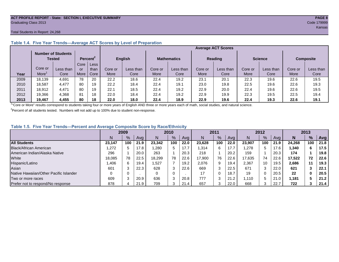#### **ACT PROFILE REPORT - State: SECTION I, EXECUTIVE SUMMARY PAGE 8** Graduating Class 2013 Code 179999

#### Total Students in Report: 24,268

|      |         | <b>Number of Students</b><br><b>Tested</b> |      | Percent <sup>2</sup> |         | <b>English</b> |         | <b>Mathematics</b> |         | <b>Reading</b> | <b>Science</b> |           | <b>Composite</b> |           |
|------|---------|--------------------------------------------|------|----------------------|---------|----------------|---------|--------------------|---------|----------------|----------------|-----------|------------------|-----------|
|      |         |                                            | Core | Less <sup>1</sup>    |         |                |         |                    |         |                |                |           |                  |           |
|      | Core or | Less than                                  | or   | than                 | Core or | Less than      | Core or | Less than          | Core or | Less than      | Core or        | Less than | Core or          | Less than |
| Year | More    | Core                                       | More | Core                 | More    | Core           | More    | Core               | More    | Core           | More           | Core      | More             | Core      |
| 2009 | 18,139  | 4,691                                      | 78   | 20                   | 22.2    | 18.6           | 22.4    | 19.2               | 23.1    | 20.1           | 22.3           | 19.6      | 22.6             | 19.5      |
| 2010 | 18,587  | 4.477                                      | 80   | 19                   | 22.2    | 18.4           | 22.4    | 19.1               | 23.0    | 19.8           | 22.5           | 19.6      | 22.6             | 19.3      |
| 2011 | 18,912  | 4.471                                      | 80   | 19                   | 22.1    | 18.5           | 22.4    | 19.2               | 22.9    | 20.0           | 22.4           | 19.6      | 22.6             | 19.5      |
| 2012 | 19,366  | 4,368                                      | 81   | 18                   | 22.0    | 18.4           | 22.4    | 19.2               | 22.9    | 19.9           | 22.3           | 19.5      | 22.5             | 19.4      |
| 2013 | 19.467  | 4,455                                      | 80   | 18                   | 22.0    | 18.0           | 22.4    | 18.9               | 22.9    | 19.6           | 22.4           | 19.3      | 22.6             | 19.1      |

# **Table 1.4. Five Year Trends—Average ACT Scores by Level of Preparation**

<sup>1</sup>"Core or More" results correspond to students taking four or more years of English AND three or more years each of math, social studies, and natural science.

 $2$ Percent of all students tested. Numbers will not add up to 100% due to student non-response.

### **Table 1.5. Five Year Trends—Percent and Average Composite Score by Race/Ethnicity**

|                                        | 2009   |      |      | 2010   |     | 2011 |        | 2012 |      |        | 2013 |      |        |     |      |
|----------------------------------------|--------|------|------|--------|-----|------|--------|------|------|--------|------|------|--------|-----|------|
|                                        | N      | $\%$ | Avg  | N      | %   | Avg  | N      | %    | Avg  | Ν      | %    | Ava  | N      | %   | Avg  |
| <b>All Students</b>                    | 23.147 | 100  | 21.9 | 23.342 | 100 | 22.0 | 23.628 | 100  | 22.0 | 23.907 | 100  | 21.9 | 24.268 | 100 | 21.8 |
| Black/African American                 | ,272   |      | 17.8 | .280   | 5   | 17.7 | 1,314  | 6    | 17.7 | .278   | 5    | 17.6 | 340, ا | 6   | 17.5 |
| American Indian/Alaska Native          | 296    |      | 20.0 | 263    |     | 20.3 | 218    |      | 20.2 | 159    |      | 20.3 | 174    |     | 19.8 |
| White                                  | 18.085 | 78   | 22.5 | 18.299 | 78  | 22.6 | 17,900 | 76   | 22.6 | 17.635 | 74   | 22.6 | 17.522 | 72  | 22.6 |
| Hispanic/Latino                        | .406   | 6.   | 19.4 | .527   |     | 19.2 | 2,076  | 9    | 19.4 | 2,367  | 10   | 19.5 | 2,686  | 11  | 19.3 |
| Asian                                  | 601    |      | 22.3 | 628    | 3   | 22.6 | 669    | 3    | 22.5 | 671    |      | 22.0 | 621    |     | 22.1 |
| Native Hawaiian/Other Pacific Islander |        |      |      | 0      | 0   |      | 17     | 0    | 18.7 | 19     |      | 20.5 | 22     | 0   | 20.5 |
| Two or more races                      | 609    |      | 20.9 | 636    | 3   | 20.8 | 777    | 3    | 21.2 | .110،  |      | 21.0 | 1,181  | 5   | 21.2 |
| Prefer not to respond/No response      | 878    |      | 21.9 | 709    | 3   | 21.4 | 657    | 3    | 22.0 | 668    |      | 22.7 | 722    |     | 21.4 |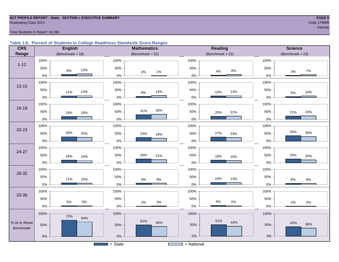#### **ACT PROFILE REPORT - State: SECTION I, EXECUTIVE SUMMARY PAGE 9 Graduating Class 2013** Code 179999

#### Total Students in Report: 24,268

#### **Table 1.6. Percent of Students in College Readiness Standards Score Ranges**

| <b>CRS</b>                 | <b>English</b>      | <b>Mathematics</b>    | <b>Reading</b>        | <b>Science</b>       |
|----------------------------|---------------------|-----------------------|-----------------------|----------------------|
| Range                      | (Benchmark = $18$ ) | (Benchmark = $22$ )   | (Benchmark = $22$ )   | $(Benchmark = 23)$   |
|                            | 100%                | 100%                  | 100%                  | 100%                 |
| $1 - 12$                   | 50%<br>13%<br>8%    | 50%<br>$0\%$<br>$1\%$ | 50%<br>$8\%$<br>4%    | 50%<br>7%<br>3%      |
|                            | $0\%$               | $0\%$                 | 0%                    | $0\%$                |
| $13 - 15$                  | 100%                | 100%                  | 100%                  | 100%                 |
|                            | 50%<br>13%<br>11%   | 50%<br>14%<br>$8\%$   | 50%<br>13%<br>10%     | 50%<br>10%<br>$6\%$  |
|                            | 0%                  | $0\%$                 | 0%                    | $0\%$                |
| 16-19                      | 100%                | 100%                  | 100%                  | 100%                 |
|                            | 50%<br>18%<br>18%   | 33%<br>31%<br>50%     | 50%<br>21%<br>20%     | 50%<br>23%<br>21%    |
|                            | 0%                  | $0\%$                 | $0\%$                 | 0%                   |
|                            | 100%                | 100%                  | 100%                  | 100%                 |
| 20-23                      | 29%<br>50%<br>25%   | $50\%$<br>23%<br>19%  | 27%<br>50%<br>24%     | 35%<br>30%<br>50%    |
|                            | 0%                  | $0\%$                 | $0\%$                 | 0%                   |
| 24-27                      | 100%                | 100%                  | 100%                  | 100%                 |
|                            | 50%<br>18%<br>16%   | 50%<br>26%<br>21%     | 50%<br>18%<br>15%     | 50%<br>25%<br>20%    |
|                            | 0%                  | $0\%$                 | $0\%$                 | 0%                   |
| 28-32                      | 100%                | 100%                  | 100%                  | 100%                 |
|                            | 50%<br>11%<br>10%   | 50%<br>$9\%$<br>$9\%$ | 50%<br>15%<br>13%     | 50%<br>$8%$<br>$8\%$ |
|                            | $0\%$               | $0\%$                 | $0\%$                 | $0\%$                |
| 33-36                      | 100%                | 100%                  | 100%                  | 100%                 |
|                            | 50%<br>5%<br>$5\%$  | 50%                   | 50%<br>$6\%$<br>$5\%$ | 50%                  |
|                            | 0%                  | $3%$<br>2%<br>$0\%$   | 0%                    | 2%<br>2%<br>$0\%$    |
|                            | 100%<br>72%         | 100%                  | 100%                  | 100%                 |
| % At or Above<br>Benchmark | 64%<br>50%          | 51%<br>44%<br>50%     | 51%<br>44%<br>50%     | 42%<br>36%<br>50%    |
|                            | $0\%$               | $0\%$                 | $0\%$                 | $0\%$                |
|                            |                     | $=$ State             | $=$ National          |                      |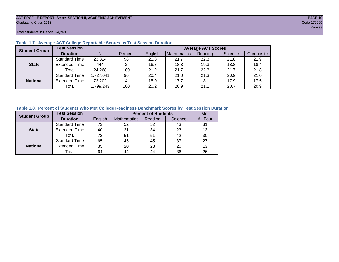#### **ACT PROFILE REPORT- State: SECTION II, ACADEMIC ACHIEVEMENT PAGE 10** Graduating Class 2013 Code 179999

Total Students in Report: 24,268

| <b>Student Group</b> | <b>Test Session</b>  |           |         | <b>Average ACT Scores</b> |             |         |         |           |  |  |  |  |  |
|----------------------|----------------------|-----------|---------|---------------------------|-------------|---------|---------|-----------|--|--|--|--|--|
|                      | <b>Duration</b>      | N         | Percent | English                   | Mathematics | Reading | Science | Composite |  |  |  |  |  |
|                      | <b>Standard Time</b> | 23,824    | 98      | 21.3                      | 21.7        | 22.3    | 21.8    | 21.9      |  |  |  |  |  |
| <b>State</b>         | <b>Extended Time</b> | 444       | 2       | 16.7                      | 18.3        | 19.3    | 18.8    | 18.4      |  |  |  |  |  |
|                      | Total                | 24,268    | 100     | 21.2                      | 21.7        | 22.3    | 21.7    | 21.8      |  |  |  |  |  |
|                      | <b>Standard Time</b> | 1,727,041 | 96      | 20.4                      | 21.0        | 21.3    | 20.9    | 21.0      |  |  |  |  |  |
| <b>National</b>      | <b>Extended Time</b> | 72,202    | 4       | 15.9                      | 17.7        | 18.1    | 17.9    | 17.5      |  |  |  |  |  |
|                      | Total                | ,799,243  | 100     | 20.2                      | 20.9        | 21.1    | 20.7    | 20.9      |  |  |  |  |  |

#### **Table 1.7. Average ACT College Reportable Scores by Test Session Duration**

#### **Table 1.8. Percent of Students Who Met College Readiness Benchmark Scores by Test Session Duration**

| <b>Student Group</b> | <b>Test Session</b>  |         | Met                |         |         |          |
|----------------------|----------------------|---------|--------------------|---------|---------|----------|
|                      | <b>Duration</b>      | English | <b>Mathematics</b> | Reading | Science | All Four |
|                      | Standard Time        | 73      | 52                 | 52      | 43      | 31       |
| <b>State</b>         | <b>Extended Time</b> | 40      | 21                 | 34      | 23      | 13       |
|                      | Total                | 72      | 51                 | 51      | 42      | 30       |
|                      | <b>Standard Time</b> | 65      | 45                 | 45      | 37      | 27       |
| <b>National</b>      | <b>Extended Time</b> | 35      | 20                 | 28      | 20      | 13       |
|                      | Total                | 64      | 44                 | 44      | 36      | 26       |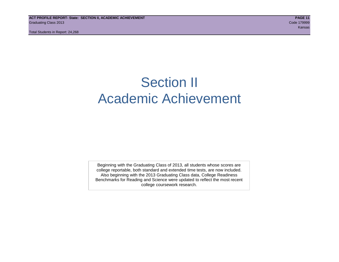# Section II Academic Achievement

Beginning with the Graduating Class of 2013, all students whose scores are college reportable, both standard and extended time tests, are now included. Also beginning with the 2013 Graduating Class data, College Readiness Benchmarks for Reading and Science were updated to reflect the most recent college coursework research.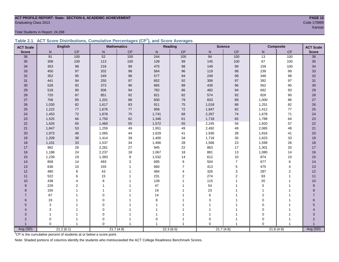#### **ACT PROFILE REPORT- State: SECTION II, ACADEMIC ACHIEVEMENT PAGE 12** er Code 179999 Code 179999 Code 179999 Code 179999 Code 179999 Code 179999 Code 179999 Code 179999 Code 179999 Code 179999 Code 179999 Code 179999 Code 179999 Code 179999 Code 179999 Code 179999 Code 179999 Code 179999 Cod

Total Students in Report: 24,268

|  | Table 2.1. ACT Score Distributions, Cumulative Percentages (CP <sup>1</sup> ), and Score Averages |  |  |  |
|--|---------------------------------------------------------------------------------------------------|--|--|--|
|  |                                                                                                   |  |  |  |

| <b>ACT Scale</b> |          | <b>English</b> |              | <b>Mathematics</b> |                | <b>Reading</b> |              | <b>Science</b> |                | Composite      |                                  |
|------------------|----------|----------------|--------------|--------------------|----------------|----------------|--------------|----------------|----------------|----------------|----------------------------------|
| <b>Score</b>     | N        | CP             | $\mathsf{N}$ | CP                 | N <sub>1</sub> | CP             | $\mathsf{N}$ | CP             | N.             | CP             | <b>ACT Scale</b><br><b>Score</b> |
| 36               | 91       | 100            | 52           | 100                | 244            | 100            | 94           | 100            | 13             | 100            | 36                               |
| 35               | 308      | 100            | 113          | 100                | 139            | 99             | 145          | 100            | 67             | 100            | 35                               |
| 34               | 353      | 98             | 218          | 99                 | 475            | 98             | 149          | 99             | 159            | 100            | 34                               |
| 33               | 450      | 97             | 202          | 98                 | 564            | 96             | 119          | 98             | 239            | 99             | 33                               |
| 32               | 352      | 95             | 249          | 98                 | 577            | 94             | 249          | $98\,$         | 348            | 98             | 32                               |
| 31               | 441      | 94             | 250          | 97                 | 852            | 92             | 306          | 97             | 392            | 97             | 31                               |
| 30               | 528      | 92             | 373          | 96                 | 665            | 88             | 439          | 96             | 562            | 95             | 30 <sub>o</sub>                  |
| 29               | 518      | 90             | 506          | 94                 | 782            | 86             | 482          | 94             | 692            | 93             | 29                               |
| 28               | 720      | 87             | 851          | 92                 | 821            | 82             | 574          | 92             | 828            | 90             | 28                               |
| 27               | 706      | 85             | 1,201        | 88                 | 830            | 79             | 833          | 89             | 1,000          | 86             | $27\,$                           |
| 26               | 1,030    | 82             | 1,617        | 83                 | 911            | 75             | 1,018        | 86             | 1,251          | 82             | $26\,$                           |
| 25               | 1,222    | 77             | 1,676        | $77\,$             | 958            | $72\,$         | 1,847        | 82             | 1,412          | 77             | 25                               |
| 24               | 1,453    | $72\,$         | 1,878        | 70                 | 1,741          | 68             | 2,267        | 74             | 1,678          | 71             | 24                               |
| 23               | 1,525    | 66             | 1,750        | 62                 | 1,346          | 61             | 1,718        | 65             | 1,789          | 64             | 23                               |
| 22               | 1,626    | 60             | 1,460        | 55                 | 1,572          | 55             | 2,245        | 58             | 1,920          | 57             | 22                               |
| 21               | 1,847    | 53             | 1,259        | 49                 | 1,951          | 49             | 2,492        | 49             | 2,065          | 49             | 21                               |
| 20               | 1,973    | 46             | 1,065        | 44                 | 1,629          | 41             | 1,930        | 38             | 1,816          | 41             | 20                               |
| 19               | 1,209    | 38             | 1,414        | 39                 | 1,400          | 34             | 1,718        | 30             | 1,623          | 33             | 19                               |
| 18               | 1,101    | 33             | 1,537        | 34                 | 1,466          | 28             | 1,566        | 23             | 1,599          | 26             | 18                               |
| 17               | 982      | 28             | 2,261        | 27                 | 945            | 22             | 863          | 17             | 1,301          | 20             | $17$                             |
| 16               | 1,188    | 24             | 2,237        | 18                 | 1,067          | 18             | 881          | 13             | 1,080          | 14             | 16                               |
| 15               | 1,239    | 19             | 1,383        | 9                  | 1,032          | 14             | 612          | $10$           | 874            | 10             | 15                               |
| 14               | 858      | 14             | 493          | 3                  | 695            | 9              | 504          | $\overline{7}$ | 677            | 6              | 14                               |
| 13               | 636      | 10             | 155          |                    | 660            | $\overline{7}$ | 413          | $\mathbf 5$    | 475            | $\overline{4}$ | 13                               |
| 12               | 480      | 8              | 43           |                    | 484            | 4              | 326          | 3              | 287            | 2              | 12                               |
| 11               | 522      | 6              | 15           |                    | 231            | $\overline{2}$ | 274          | $\overline{c}$ | 93             | $\mathbf{1}$   | 11                               |
| 10               | 438      | $\overline{4}$ | 8            |                    | 139            | 1              | 115          | 1              | 20             | 1              | 10                               |
| 9                | 229      | $\overline{2}$ |              |                    | 47             |                | 54           | 1              | 5              | 1              | $\boldsymbol{9}$                 |
| 8                | 150      |                |              |                    | 19             |                | 23           |                | 1              |                | 8                                |
| $\overline{7}$   | 67       |                | $\Omega$     |                    | 14             |                | 6            |                | $\overline{2}$ |                | $\overline{7}$                   |
| 6                | 19       |                | $\Omega$     |                    | 8              |                | 3            |                | $\mathbf 0$    |                | 6                                |
| 5                | 3        |                | $\mathbf 0$  |                    |                |                |              |                | $\mathbf 0$    |                | 5                                |
| 4                | 3        |                | $\pmb{0}$    |                    |                |                |              |                | $\mathbf 0$    |                |                                  |
| 3                | 1        |                | $\mathbf 0$  |                    |                |                |              | 1              | $\mathbf 0$    |                | 3                                |
| $\overline{2}$   | 0        |                | 0            |                    | 0              |                | 0            | 1              | $\mathbf 0$    |                | $\overline{2}$                   |
|                  | $\Omega$ | $\overline{1}$ | $\Omega$     |                    | $\overline{1}$ | 1              | $\Omega$     | $\overline{1}$ | $\Omega$       |                | Avg (SD)                         |
| Avg (SD)         |          | 21.2(6.1)      |              | 21.7(4.9)          |                | 22.3(6.0)      |              | 21.7(4.8)      |                | 21.8(4.9)      |                                  |

<sup>1</sup>CP is the cumulative percent of students at or below a score point.

Note: Shaded portions of columns identify the students who met/exceeded the ACT College Readiness Benchmark Scores.

ta tanggal sa kabupatèn Kansas di Kabupatèn Kabupatèn Kabupatèn Kansas Kansas Kansas Kansas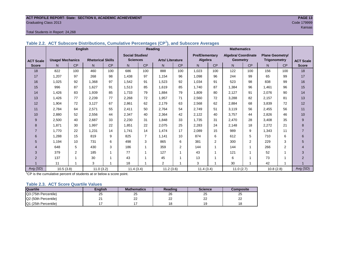#### **ACT PROFILE REPORT- State: SECTION II, ACADEMIC ACHIEVEMENT PAGE 13 Graduating Class 2013** Code 179999

#### Total Students in Report: 24,268

|                  |                         | <b>English</b> |                          |     | <u>annanaan : o : o : o o maag o o   o : .</u> |                | Reading                | $\mu$ and calced it is easy to | <b>Mathematics</b> |                                  |           |                                               |                                               |                |                  |
|------------------|-------------------------|----------------|--------------------------|-----|------------------------------------------------|----------------|------------------------|--------------------------------|--------------------|----------------------------------|-----------|-----------------------------------------------|-----------------------------------------------|----------------|------------------|
| <b>ACT Scale</b> | <b>Usage/ Mechanics</b> |                | <b>Rhetorical Skills</b> |     | <b>Social Studies/</b><br><b>Sciences</b>      |                | <b>Arts/Literature</b> |                                |                    | <b>Pre/Elementary</b><br>Algebra |           | <b>Algebra/ Coordinate</b><br><b>Geometry</b> | <b>Plane Geometry/</b><br><b>Trigonometry</b> |                | <b>ACT Scale</b> |
| <b>Score</b>     | N                       | <b>CP</b>      | N                        | CP  | N.                                             | <b>CP</b>      | N.                     | <b>CP</b>                      | N.                 | <b>CP</b>                        | N.        | <b>CP</b>                                     | N.                                            | <b>CP</b>      | <b>Score</b>     |
| 18               | 822                     | 100            | 460                      | 100 | 686                                            | 100            | 888                    | 100                            | 1,023              | 100                              | 122       | 100                                           | 156                                           | 100            | 18               |
| 17               | 1,207                   | 97             | 268                      | 98  | 1,438                                          | 97             | 1,154                  | 96                             | 1.098              | 96                               | 244       | 99                                            | 65                                            | 99             | 17               |
| 16               | 1,025                   | 92             | 1,368                    | 97  | 1,542                                          | 91             | 1,523                  | 92                             | 1,034              | 91                               | 523       | 98                                            | 838                                           | 99             | 16               |
| 15               | 996                     | 87             | 1,627                    | 91  | 1,513                                          | 85             | 1,619                  | 85                             | 1,740              | 87                               | 1,384     | 96                                            | 1,461                                         | 96             | 15               |
| 14               | 1,426                   | 83             | 1.939                    | 85  | 1.733                                          | 79             | 1.884                  | 79                             | 1.809              | 80                               | 2.127     | 91                                            | 2,076                                         | 90             | 14               |
| 13               | 1,426                   | 77             | 2,239                    | 77  | 2,268                                          | 72             | 1,957                  | 71                             | 2,560              | 72                               | 3,288     | 82                                            | 2,157                                         | 81             | 13               |
| 12               | 1,904                   | 72             | 3,127                    | 67  | 2,861                                          | 62             | 2,179                  | 63                             | 2,568              | 62                               | 2,884     | 68                                            | 3,839                                         | 72             | 12               |
| 11               | 2,784                   | 64             | 2,571                    | 55  | 2,411                                          | 50             | 2,764                  | 54                             | 2,749              | 51                               | 3,119     | 56                                            | 2,455                                         | 56             | 11               |
| 10               | 2,880                   | 52             | 2,556                    | 44  | 2,347                                          | 40             | 2,364                  | 42                             | 2,122              | 40                               | 3,757     | 44                                            | 2,826                                         | 46             | 10               |
| 9                | 2,500                   | 40             | 2,687                    | 33  | 2,230                                          | 31             | 1.848                  | 33                             | 1,735              | 31                               | 2,470     | 28                                            | 3,408                                         | 35             | $9\,$            |
| 8                | 1.871                   | 30             | 1.997                    | 22  | 1,851                                          | 22             | 2.075                  | 25                             | 2,283              | 24                               | 2,148     | 18                                            | 2,272                                         | 21             | 8                |
|                  | 1.770                   | 22             | 1,231                    | 14  | 1.741                                          | 14             | 1,474                  | 17                             | 2,089              | 15                               | 989       | 9                                             | 1.343                                         | 11             |                  |
| 6                | 1,288                   | 15             | 819                      | 9   | 825                                            | $\overline{7}$ | 1,141                  | 10                             | 874                | 6                                | 612       | 5                                             | 710                                           | 6              | 6                |
| 5                | 1,194                   | 10             | 731                      | 6   | 498                                            | 3              | 865                    | 6                              | 381                | $\overline{2}$                   | 300       | $\overline{2}$                                | 229                                           | 3              | 5                |
| 4                | 648                     | 5              | 430                      | 3   | 186                                            |                | 359                    | 2                              | 144                |                                  | 144       | 1                                             | 266                                           | $\overline{2}$ | 4                |
| 3                | 379                     | 2              | 185                      | -1  | 77                                             |                | 127                    | $\mathbf{1}$                   | 43                 |                                  | 121       | 1                                             | 52                                            |                | 3                |
| 2                | 137                     |                | 30                       |     | 43                                             |                | 45                     | 1                              | 13                 |                                  | 6         | 1                                             | 73                                            |                | $\mathcal{P}$    |
|                  | 11                      | $\overline{ }$ | 3                        |     | 18                                             |                | $\overline{2}$         | $\overline{ }$                 | 3                  |                                  | 30        | 1                                             | 42                                            |                |                  |
| Avg (SD)         | 10.5(3.8)               |                | 11.0(3.2)                |     | 11.4(3.4)                                      |                | 11.2(3.6)              |                                | 11.4(3.4)          |                                  | 11.0(2.7) |                                               | 10.8(2.8)                                     |                | Avg (SD)         |

**Table 2.2. ACT Subscore Distributions, Cumulative Percentages (CP<sup>1</sup> ), and Subscore Averages**

<sup>1</sup>CP is the cumulative percent of students at or below a score point.

#### **Table 2.3. ACT Score Quartile Values**

| <b>Quartile</b>      | Enalish | <b>Mathematics</b> | Reading  | <b>Science</b>      | Composite |
|----------------------|---------|--------------------|----------|---------------------|-----------|
| Q3 (75th Percentile) | 25      | 25                 | 26       | 25                  | 25        |
| Q2 (50th Percentile) |         | ົ<br>--            | nr<br>∠∠ | $\sim$<br><u>__</u> | nn<br>--  |
| Q1 (25th Percentile) |         |                    |          | 19                  | 18        |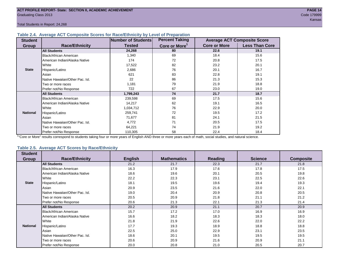#### **Table 2.4. Average ACT Composite Scores for Race/Ethnicity by Level of Preparation**

| <b>Student</b>  |                                 | <b>Number of Students</b> | <b>Percent Taking</b>     |                     | <b>Average ACT Composite Score</b> |
|-----------------|---------------------------------|---------------------------|---------------------------|---------------------|------------------------------------|
| <b>Group</b>    | <b>Race/Ethnicity</b>           | <b>Tested</b>             | Core or More <sup>1</sup> | <b>Core or More</b> | <b>Less Than Core</b>              |
|                 | <b>All Students</b>             | 24,268                    | 80                        | 22.6                | 19.1                               |
|                 | <b>Black/African American</b>   | 1,340                     | 69                        | 18.4                | 15.6                               |
|                 | American Indian/Alaska Native   | 174                       | 72                        | 20.8                | 17.5                               |
|                 | White                           | 17,522                    | 82                        | 23.2                | 20.1                               |
| <b>State</b>    | Hispanic/Latino                 | 2,686                     | 76                        | 20.1                | 16.7                               |
|                 | Asian                           | 621                       | 83                        | 22.8                | 19.1                               |
|                 | Native Hawaiian/Other Pac. Isl. | 22                        | 86                        | 21.3                | 15.3                               |
|                 | I Two or more races             | 1,181                     | 79                        | 21.9                | 18.8                               |
|                 | Prefer not/No Response          | 722                       | 67                        | 23.0                | 19.0                               |
|                 | <b>All Students</b>             | 1,799,243                 | 74                        | 21.7                | 18.7                               |
|                 | Black/African American          | 239,598                   | 69                        | 17.5                | 15.6                               |
|                 | American Indian/Alaska Native   | 14,217                    | 62                        | 19.1                | 16.5                               |
|                 | <b>White</b>                    | 1,034,712                 | 76                        | 22.9                | 20.0                               |
| <b>National</b> | Hispanic/Latino                 | 259,741                   | 72                        | 19.5                | 17.2                               |
|                 | Asian                           | 71,677                    | 81                        | 24.1                | 21.5                               |
|                 | Native Hawaiian/Other Pac. Isl. | 4,772                     | 71                        | 20.5                | 17.5                               |
|                 | Two or more races               | 64,221                    | 74                        | 21.9                | 19.2                               |
|                 | Prefer not/No Response          | 110,305                   | 58                        | 22.4                | 18.4                               |

<sup>1</sup>"Core or More" results correspond to students taking four or more years of English AND three or more years each of math, social studies, and natural science.

#### **Table 2.5. Average ACT Scores by Race/Ethnicity**

| <b>Student</b>  |                                 |                |                    |                |                |                  |
|-----------------|---------------------------------|----------------|--------------------|----------------|----------------|------------------|
| Group           | <b>Race/Ethnicity</b>           | <b>English</b> | <b>Mathematics</b> | <b>Reading</b> | <b>Science</b> | <b>Composite</b> |
|                 | <b>All Students</b>             | 21.2           | 21.7               | 22.3           | 21.7           | 21.8             |
|                 | Black/African American          | 16.3           | 17.9               | 17.6           | 17.8           | 17.5             |
|                 | American Indian/Alaska Native   | 18.6           | 19.6               | 20.1           | 20.5           | 19.8             |
|                 | White                           | 22.2           | 22.3               | 23.1           | 22.5           | 22.6             |
| <b>State</b>    | Hispanic/Latino                 | 18.1           | 19.5               | 19.6           | 19.4           | 19.3             |
|                 | Asian                           | 20.9           | 23.5               | 21.6           | 22.0           | 22.1             |
|                 | Native Hawaiian/Other Pac. Isl. | 19.0           | 20.4               | 20.9           | 20.8           | 20.5             |
|                 | Two or more races               | 20.5           | 20.9               | 21.8           | 21.1           | 21.2             |
|                 | Prefer not/No Response          | 20.6           | 21.3               | 22.1           | 21.3           | 21.4             |
|                 | <b>All Students</b>             | 20.2           | 20.9               | 21.1           | 20.7           | 20.9             |
|                 | <b>Black/African American</b>   | 15.7           | 17.2               | 17.0           | 16.9           | 16.9             |
|                 | American Indian/Alaska Native   | 16.6           | 18.2               | 18.3           | 18.3           | 18.0             |
|                 | White                           | 21.8           | 21.9               | 22.6           | 22.0           | 22.2             |
| <b>National</b> | Hispanic/Latino                 | 17.7           | 19.3               | 18.9           | 18.8           | 18.8             |
|                 | Asian                           | 22.5           | 25.0               | 22.9           | 23.1           | 23.5             |
|                 | Native Hawaiian/Other Pac. Isl. | 18.6           | 20.1               | 19.5           | 19.5           | 19.5             |
|                 | Two or more races               | 20.6           | 20.9               | 21.6           | 20.9           | 21.1             |
|                 | Prefer not/No Response          | 20.0           | 20.8               | 21.0           | 20.5           | 20.7             |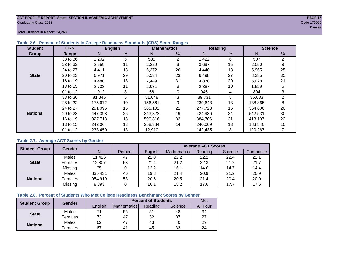#### **ACT PROFILE REPORT- State: SECTION II, ACADEMIC ACHIEVEMENT PAGE 15** Graduating Class 2013 Code 179999

Total Students in Report: 24,268

| <b>Student</b>  | <b>CRS</b> |         | <b>English</b> |         | <b>Mathematics</b> |         | <b>Reading</b> | <b>Science</b> |    |  |
|-----------------|------------|---------|----------------|---------|--------------------|---------|----------------|----------------|----|--|
| Group           | Range      | N       | %              | N       | %                  | N       | %              | N              | %  |  |
|                 | 33 to 36   | 1,202   | 5              | 585     | 2                  | 1,422   | 6              | 507            | 2  |  |
|                 | 28 to 32   | 2,559   | 11             | 2,229   | 9                  | 3,697   | 15             | 2,050          | 8  |  |
|                 | 24 to 27   | 4,411   | 18             | 6,372   | 26                 | 4,440   | 18             | 5,965          | 25 |  |
| <b>State</b>    | 20 to 23   | 6,971   | 29             | 5,534   | 23                 | 6,498   | 27             | 8,385          | 35 |  |
|                 | 16 to 19   | 4,480   | 18             | 7,449   | 31                 | 4,878   | 20             | 5,028          | 21 |  |
|                 | 13 to 15   | 2,733   | 11             | 2,031   | 8                  | 2,387   | 10             | 1,529          | 6  |  |
|                 | 01 to 12   | 1,912   | 8              | 68      | 0                  | 946     | 4              | 804            | 3  |  |
|                 | 33 to 36   | 81,846  | 5              | 51,648  | 3                  | 89,731  | 5              | 36,033         | 2  |  |
|                 | 28 to 32   | 175,672 | 10             | 156,561 | 9                  | 239,643 | 13             | 138,865        | 8  |  |
|                 | 24 to 27   | 291,095 | 16             | 385,102 | 21                 | 277,723 | 15             | 364,600        | 20 |  |
| <b>National</b> | 20 to 23   | 447,398 | 25             | 343,822 | 19                 | 424,936 | 24             | 542,531        | 30 |  |
|                 | 16 to 19   | 327,718 | 18             | 590,816 | 33                 | 384,706 | 21             | 413,107        | 23 |  |
|                 | 13 to 15   | 242,064 | 13             | 258,384 | 14                 | 240,069 | 13             | 183,840        | 10 |  |
|                 | 01 to 12   | 233,450 | 13             | 12,910  |                    | 142,435 | 8              | 120,267        |    |  |

#### **Table 2.6. Percent of Students in College Readiness Standards (CRS) Score Ranges**

#### **Table 2.7. Average ACT Scores by Gender**

| <b>Student Group</b> | <b>Gender</b> |         |         | <b>Average ACT Scores</b> |             |         |         |           |  |  |  |  |
|----------------------|---------------|---------|---------|---------------------------|-------------|---------|---------|-----------|--|--|--|--|
|                      |               | N       | Percent | Enalish                   | Mathematics | Reading | Science | Composite |  |  |  |  |
|                      | Males         | 11,426  | 47      | 21.0                      | 22.2        | 22.2    | 22.4    | 22.1      |  |  |  |  |
| <b>State</b>         | Females       | 12,807  | 53      | 21.4                      | 21.2        | 22.3    | 21.2    | 21.7      |  |  |  |  |
|                      | Missing       | 35      |         | 12.2                      | 16.1        | 14.6    | 14.7    | 14.4      |  |  |  |  |
|                      | Males         | 835,431 | 46      | 19.8                      | 21.4        | 20.9    | 21.2    | 20.9      |  |  |  |  |
| <b>National</b>      | Females       | 954,919 | 53      | 20.6                      | 20.5        | 21.4    | 20.4    | 20.9      |  |  |  |  |
|                      | Missing       | 8,893   | 0       | 16.1                      | 18.2        | 17.6    | 17.7    | 17.5      |  |  |  |  |

#### **Table 2.8. Percent of Students Who Met College Readiness Benchmark Scores by Gender**

| <b>Student Group</b> | <b>Gender</b> |         | Met                |         |         |          |
|----------------------|---------------|---------|--------------------|---------|---------|----------|
|                      |               | English | <b>Mathematics</b> | Reading | Science | All Four |
| <b>State</b>         | Males         |         | 56                 | 51      | 48      | 34       |
|                      | Females       | 73      | 47                 | 52      | 37      | 27       |
|                      | <b>Males</b>  | 62      | 47                 | 43      | 40      | 29       |
| <b>National</b>      | Females       | 67      | 4 <sup>1</sup>     | 45      | 33      | 24       |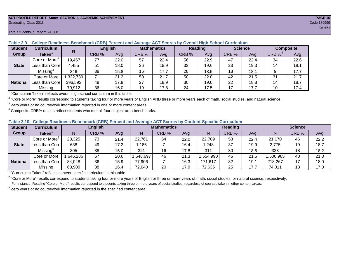#### **ACT PROFILE REPORT- State: SECTION II, ACADEMIC ACHIEVEMENT PAGE 16** Graduating Class 2013 Code 179999

#### Total Students in Report: 24,268

| <b>Student</b>  | <b>Curriculum</b>                       | N        | <b>English</b> |      | <b>Mathematics</b> |      | <b>Reading</b> |      | <b>Science</b> |      | <b>Composite</b> |      |
|-----------------|-----------------------------------------|----------|----------------|------|--------------------|------|----------------|------|----------------|------|------------------|------|
| Group           | Taken $^{\scriptscriptstyle\mathsf{T}}$ |          | CRB %          | Avg  | CRB %              | Avg  | CRB %          | Avg  | CRB %          | Ava  | CRB $\%^4$       | Avg  |
|                 | Core or More <sup>2</sup>               | 19,467   | 77             | 22.0 | 57                 | 22.4 | 56             | 22.9 | 47             | 22.4 | 34               | 22.6 |
| <b>State</b>    | Less than Core                          | 4,455    | 51             | 18.0 | 26                 | 18.9 | 33             | 19.6 | 23             | 19.3 | 14               | 19.1 |
|                 | Missing <sup>3</sup>                    | 346      | 38             | 15.8 | 16                 | 17.7 | 28             | 18.5 | 18             | 18.1 |                  | 17.7 |
|                 | Core or More                            | ,322,739 | 71             | 21.2 | 50                 | 21.7 | 50             | 22.0 | 42             | 21.5 | 31               | 21.7 |
| <b>National</b> | Less than Core।                         | 396,592  | 48             | 17.8 | 27                 | 18.9 | 30             | 19.0 | 22             | 18.8 | 14               | 18.7 |
|                 | Missing                                 | 79,912   | 36             | 16.0 | 19                 | 17.8 | 24             | 17.5 | 17             | 17.7 | 10               | 17.4 |

**Table 2.9. College Readiness Benchmark (CRB) Percent and Average ACT Scores by Overall High School Curriculum**

<sup>1</sup> "Curriculum Taken" reflects overall high school curriculum in this table.

 $^2$  "Core or More" results correspond to students taking four or more years of English AND three or more years each of math, social studies, and natural science.

 $3$  Zero years or no coursework information reported in one or more content areas.

 $4$  Composite CRB% results reflect students who met all four subject-area benchmarks.

|  |  |  |  |  | Table 2.10. College Readiness Benchmark (CRB) Percent and Average ACT Scores by Content-Specific Curriculum |
|--|--|--|--|--|-------------------------------------------------------------------------------------------------------------|
|--|--|--|--|--|-------------------------------------------------------------------------------------------------------------|

| <b>Student</b>  | Curriculum                    |          | <b>English</b> |      | <b>Mathematics</b> |       |      | <b>Reading</b> |       |      | <b>Science</b> |       |      |
|-----------------|-------------------------------|----------|----------------|------|--------------------|-------|------|----------------|-------|------|----------------|-------|------|
| Group           | $\mathsf{Taken}^{\mathsf{T}}$ |          | CRB %          | Avg  | N                  | CRB % | Avg  | N              | CRB % | Avg  | N              | CRB % | Avg  |
|                 | Core or More <sup>2</sup>     | 23,325   | 73             | 21.4 | 22,761             | 54    | 22.0 | 22,709         | 53    | 22.4 | 21,170         | 46    | 22.2 |
| <b>State</b>    | Less than Corel               | 638      | 49             | 17.2 | .186               |       | 16.4 | ,248           | 37    | 19.9 | 2,775          | 19    | 18.7 |
|                 | Missing®                      | 305      | 38             | 16.0 | 321                | 16    | 17.8 | 311            | 30    | 18.6 | 323            | 18    | 18.2 |
|                 | Core or More                  | ,646,286 | 67             | 20.6 | .648,697           | 46    | 21.3 | .554,990       | 46    | 21.5 | ,506,965       | 40    | 21.3 |
| <b>National</b> | Less than Core                | 84,048   | 36             | 15.9 | 77,906             |       | 16.3 | 171,617        | 32    | 19.1 | 218,267        | 17    | 18.0 |
|                 | Missing                       | 68,909   | 38             | 16.4 | 72,640             | 20    | 17.9 | 72,636         | 25    | 17.7 | 74,011         | 18    | 17.8 |

<sup>1</sup>"Curriculum Taken" reflects content-specific curriculum in this table.

<sup>2</sup> "Core or More" results correspond to students taking four or more years of English or three or more years of math, social studies, or natural science, respectively. For instance, Reading "Core or More" results correspond to students taking three or more years of social studies, regardless of courses taken in other content areas.

 $3$  Zero years or no coursework information reported in the specified content area.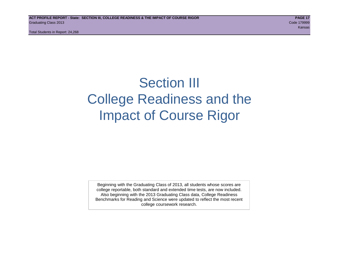# Section III College Readiness and the Impact of Course Rigor

Beginning with the Graduating Class of 2013, all students whose scores are college reportable, both standard and extended time tests, are now included. Also beginning with the 2013 Graduating Class data, College Readiness Benchmarks for Reading and Science were updated to reflect the most recent college coursework research.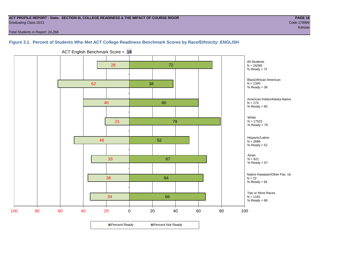#### **ACT PROFILE REPORT - State: SECTION III, COLLEGE READINESS & THE IMPACT OF COURSE RIGOR PAGE 18** Graduating Class 2013 Code 179999

Total Students in Report: 24,268

# **Figure 3.1. Percent of Students Who Met ACT College Readiness Benchmark Scores by Race/Ethnicity: ENGLISH**



ACT English Benchmark Score = **18**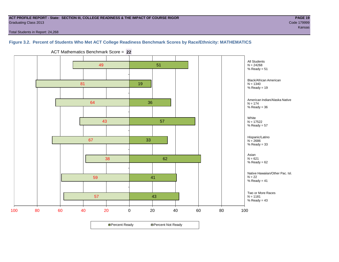#### **ACT PROFILE REPORT - State: SECTION III, COLLEGE READINESS & THE IMPACT OF COURSE RIGOR PAGE 19** Graduating Class 2013 Code 179999

Total Students in Report: 24,268

# **Figure 3.2. Percent of Students Who Met ACT College Readiness Benchmark Scores by Race/Ethnicity: MATHEMATICS**

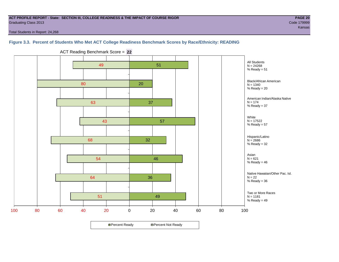#### **ACT PROFILE REPORT - State: SECTION III, COLLEGE READINESS & THE IMPACT OF COURSE RIGOR PAGE 20** Graduating Class 2013 Code 179999

ta kansas kansas kansas kansas kansas kansas kansas kansas kansas kansas kansas kansas kansas kansas kansas ka

Total Students in Report: 24,268

### **Figure 3.3. Percent of Students Who Met ACT College Readiness Benchmark Scores by Race/Ethnicity: READING**



ACT Reading Benchmark Score = **22**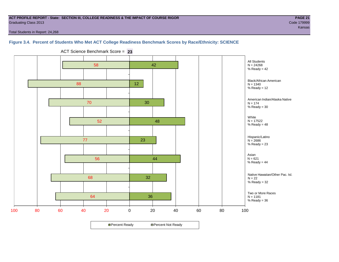#### **ACT PROFILE REPORT - State: SECTION III, COLLEGE READINESS & THE IMPACT OF COURSE RIGOR PAGE 21** Graduating Class 2013 Code 179999

ta kansas kansas kansas kansas kansas kansas kansas kansas kansas kansas kansas kansas kansas kansas kansas ka

Total Students in Report: 24,268

# **Figure 3.4. Percent of Students Who Met ACT College Readiness Benchmark Scores by Race/Ethnicity: SCIENCE**



ACT Science Benchmark Score = **23**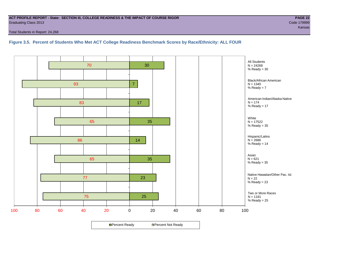#### **ACT PROFILE REPORT - State: SECTION III, COLLEGE READINESS & THE IMPACT OF COURSE RIGOR PAGE 22** Graduating Class 2013 Code 179999

Total Students in Report: 24,268

**Figure 3.5. Percent of Students Who Met ACT College Readiness Benchmark Scores by Race/Ethnicity: ALL FOUR**

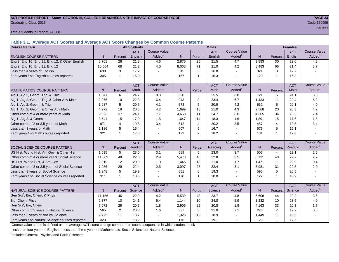#### **ACT PROFILE REPORT - State: SECTION III, COLLEGE READINESS & THE IMPACT OF COURSE RIGOR PAGE 23** Graduating Class 2013 Code 179999

Total Students in Report: 24,268

**Table 3.1. Average ACT Scores and Average ACT Score Changes by Common Course Patterns**

| <b>Course Pattern</b>                            |                |                | <b>All Students</b> |                     |              |                | <b>Males</b> |                     |       | <b>Females</b> |            |                        |
|--------------------------------------------------|----------------|----------------|---------------------|---------------------|--------------|----------------|--------------|---------------------|-------|----------------|------------|------------------------|
|                                                  |                |                | <b>ACT</b>          | <b>Course Value</b> |              |                | <b>ACT</b>   | <b>Course Value</b> |       |                | <b>ACT</b> | <b>Course Value</b>    |
| <b>ENGLISH COURSE PATTERN</b>                    | N.             | Percent        | English             | Added               | N            | Percent        | English      | Added               | N     | Percent        | English    | Added <sup>1</sup>     |
| Eng 9, Eng 10, Eng 11, Eng 12, & Other English   | 6,761          | 28             | 21.8                | 4.6                 | 2,876        | 25             | 21.5         | 4.7                 | 3,883 | 30             | 22.0       | 4.3                    |
| Eng 9, Eng 10, Eng 11, Eng 12                    | 16.564         | 68             | 21.2                | 4.0                 | 8,068        | 71             | 21.0         | 4.2                 | 8,483 | 66             | 21.4       | 3.7                    |
| Less than 4 years of English                     | 638            | 3              | 17.2                |                     | 315          | 3              | 16.8         |                     | 321   | 3              | 17.7       |                        |
| Zero years / no English courses reported         | 305            | -1             | 16.0                |                     | 167          | $\mathbf{1}$   | 16.3         |                     | 120   | 1              | 16.3       |                        |
|                                                  |                |                | <b>ACT</b>          | <b>Course Value</b> |              |                | <b>ACT</b>   | <b>Course Value</b> |       |                | <b>ACT</b> | <b>Course Value</b>    |
| <b>MATHEMATICS COURSE PATTERN</b>                | N <sub>1</sub> | Percent        | Math                | Added               | N            | Percent        | Math         | Added               | N     | Percent        | Math       | A d d e d <sup>1</sup> |
| Alg 1, Alg 2, Geom, Trig, & Calc                 | 1,341          | 6              | 24.7                | 8.3                 | 620          | 5              | 25.5         | 8.8                 | 721   | 6              | 24.1       | 8.0                    |
| Alg 1, Alg 2, Geom, Trig, & Other Adv Math       | 2,376          | 10             | 22.8                | 6.4                 | 943          | 8              | 23.4         | 6.7                 | 1,433 | 11             | 22.4       | 6.3                    |
| Alg 1, Alg 2, Geom, & Trig                       | 1,237          | 5              | 20.5                | 4.1                 | 573          | 5              | 20.9         | 4.2                 | 662   | 5              | 20.1       | 4.0                    |
| Alg 1, Alg 2, Geom, & Other Adv Math             | 4,272          | 18             | 20.6                | 4.2                 | 1,699        | 15             | 21.0         | 4.3                 | 2,568 | 20             | 20.3       | 4.2                    |
| Other comb of 4 or more years of Math            | 9,023          | 37             | 24.1                | 7.7                 | 4,653        | 41             | 24.7         | 8.0                 | 4,365 | 34             | 23.5       | 7.4                    |
| Alg 1, Alg 2, & Geom                             | 3,541          | 15             | 17.9                | 1.5                 | 1,647        | 14             | 18.3         | 1.6                 | 1,891 | 15             | 17.6       | 1.5                    |
| Other comb of 3 or 3.5 years of Math             | 971            | 4              | 19.8                | 3.4                 | 512          | $\overline{4}$ | 20.2         | 3.5                 | 457   | $\overline{4}$ | 19.5       | 3.4                    |
| Less than 3 years of Math                        | 1.186          | 5              | 16.4                |                     | 607          | 5              | 16.7         | $\overline{a}$      | 579   | 5              | 16.1       |                        |
| Zero years / no Math courses reported            | 321            | -1             | 17.8                |                     | 172          | 2              | 18.2         |                     | 131   | $\overline{1}$ | 17.6       |                        |
|                                                  |                |                | <b>ACT</b>          | <b>Course Value</b> |              |                | <b>ACT</b>   | <b>Course Value</b> |       |                | <b>ACT</b> | <b>Course Value</b>    |
| SOCIAL SCIENCE COURSE PATTERN                    | N              | Percent        | Reading             | Added               | N            | Percent        | Reading      | Added               | N     | Percent        | Reading    | Added <sup>1</sup>     |
| US Hist, World Hist, Am Gov, & Other Hist        | 1.095          | 5              | 23.0                | 3.1                 | 589          | 5              | 23.0         | 3.7                 | 506   | 4              | 23.1       | 2.6                    |
| Other comb of 4 or more years Social Science     | 11,609         | 48             | 22.8                | 2.9                 | 5,473        | 48             | 22.8         | 3.5                 | 6,131 | 48             | 22.7       | 2.2                    |
| US Hist, World Hist, & Am Gov                    | 2,919          | 12             | 20.9                | 1.0                 | 1,446        | 13             | 21.0         | 1.7                 | 1,471 | 11             | 20.9       | 0.4                    |
| Other comb of 3 or 3.5 years of Social Science   | 7,086          | 29             | 22.4                | 2.5                 | 3,097        | 27             | 22.4         | 3.1                 | 3,981 | 31             | 22.5       | 2.0                    |
| Less than 3 years of Social Science              | 1,248          | 5              | 19.9                |                     | 651          | 6              | 19.3         |                     | 596   | 5              | 20.5       |                        |
| Zero years / no Social Science courses reported  | 311            | -1             | 18.6                |                     | 170          | $\mathbf{1}$   | 18.8         |                     | 122   | $\overline{1}$ | 18.9       | $\blacksquare$         |
|                                                  |                |                | <b>ACT</b>          | <b>Course Value</b> |              |                | <b>ACT</b>   | <b>Course Value</b> |       |                | <b>ACT</b> | <b>Course Value</b>    |
| NATURAL SCIENCE COURSE PATTERN                   | N              | Percent        | Science             | Added               | $\mathsf{N}$ | Percent        | Science      | Added               | N     | Percent        | Science    | A d d e d <sup>1</sup> |
| Gen Sci <sup>2</sup> , Bio, Chem, & Phys         | 11,156         | 46             | 22.9                | 4.2                 | 5,539        | 48             | 23.7         | 4.8                 | 5,608 | 44             | 22.2       | 3.6                    |
| Bio, Chem, Phys                                  | 2,377          | 10             | 24.1                | 5.4                 | 1,144        | 10             | 24.8         | 5.9                 | 1,232 | 10             | 23.5       | 4.9                    |
| Gen Sci <sup>2</sup> , Bio, Chem                 | 7,072          | 29             | 20.5                | 1.8                 | 2,905        | 25             | 20.8         | 1.9                 | 4,163 | 33             | 20.3       | 1.7                    |
| Other comb of 3 years of Natural Science         | 565            | $\overline{2}$ | 20.3                | 1.6                 | 337          | $\mathbf{3}$   | 21.0         | 2.1                 | 226   | $\overline{2}$ | 19.2       | 0.6                    |
| Less than 3 years of Natural Science             | 2,775          | 11             | 18.7                |                     | 1,325        | 12             | 18.9         |                     | 1,449 | 11             | 18.6       |                        |
| Zero years / no Natural Science courses reported | 323            | 1              | 18.2                |                     | 176          | 2              | 19.1         |                     | 129   | 1              | 17.7       |                        |

<sup>1</sup>Course value added is defined as the average ACT score change compared to course sequences in which students took

less than four years of English or less than three years of Mathematics, Social Science or Natural Science.

<sup>2</sup>Includes General, Physical and Earth Sciences.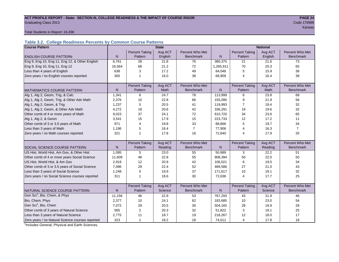#### **ACT PROFILE REPORT - State: SECTION III, COLLEGE READINESS & THE IMPACT OF COURSE RIGOR PAGE 24** Graduating Class 2013 Code 179999

t and the state of the state of the state of the state of the state of the state of the state of the State of the

Total Students in Report: 24,268

# **Table 3.2. College Readiness Percents by Common Course Patterns**

| <b>Course Pattern</b>                            |        |                       | <b>State</b> |                  |              |                       | <b>National</b> |                  |
|--------------------------------------------------|--------|-----------------------|--------------|------------------|--------------|-----------------------|-----------------|------------------|
|                                                  |        | <b>Percent Taking</b> | Avg ACT      | Percent Who Met  |              | <b>Percent Taking</b> | Avg ACT         | Percent Who Met  |
| <b>ENGLISH COURSE PATTERN</b>                    | N      | Pattern               | English      | <b>Benchmark</b> | $\mathsf{N}$ | Pattern               | English         | <b>Benchmark</b> |
| Eng 9, Eng 10, Eng 11, Eng 12, & Other English   | 6,761  | 28                    | 21.8         | 76               | 380,375      | 21                    | 21.6            | 73               |
| Eng 9, Eng 10, Eng 11, Eng 12                    | 16,564 | 68                    | 21.2         | 72               | 1,265,911    | 70                    | 20.3            | 65               |
| Less than 4 years of English                     | 638    | 3                     | 17.2         | 49               | 84,048       | 5                     | 15.9            | 36               |
| Zero years / no English courses reported         | 305    | 1                     | 16.0         | 38               | 68,909       | $\overline{4}$        | 16.4            | 38               |
|                                                  |        |                       |              |                  |              |                       |                 |                  |
|                                                  |        | <b>Percent Taking</b> | Avg ACT      | Percent Who Met  |              | <b>Percent Taking</b> | Avg ACT         | Percent Who Met  |
| <b>MATHEMATICS COURSE PATTERN</b>                | N      | Pattern               | Math         | <b>Benchmark</b> | N            | Pattern               | Math            | <b>Benchmark</b> |
| Alg 1, Alg 2, Geom, Trig, & Calc                 | 1,341  | 6                     | 24.7         | 78               | 113,999      | 6                     | 23.8            | 68               |
| Alg 1, Alg 2, Geom, Trig, & Other Adv Math       | 2,376  | 10                    | 22.8         | 66               | 155,095      | 9                     | 21.9            | 56               |
| Alg 1, Alg 2, Geom, & Trig                       | 1,237  | 5                     | 20.5         | 41               | 119,993      | 7                     | 19.4            | 32               |
| Alg 1, Alg 2, Geom, & Other Adv Math             | 4,272  | 18                    | 20.6         | 42               | 336,291      | 19                    | 19.6            | 32               |
| Other comb of 4 or more years of Math            | 9,023  | 37                    | 24.1         | 72               | 610,720      | 34                    | 23.6            | 65               |
| Alg 1, Alg 2, & Geom                             | 3,541  | 15                    | 17.9         | 15               | 223,733      | 12                    | 17.2            | 11               |
| Other comb of 3 or 3.5 years of Math             | 971    | $\overline{4}$        | 19.8         | 33               | 88,866       | 5                     | 19.7            | 34               |
| Less than 3 years of Math                        | 1,186  | 5                     | 16.4         | $\overline{7}$   | 77,906       | 4                     | 16.3            | $\overline{7}$   |
| Zero years / no Math courses reported            | 321    | 1                     | 17.8         | 16               | 72,640       | 4                     | 17.9            | 20               |
|                                                  |        |                       |              |                  |              |                       |                 |                  |
|                                                  |        | <b>Percent Taking</b> | Avg ACT      | Percent Who Met  |              | <b>Percent Taking</b> | Avg ACT         | Percent Who Met  |
| <b>SOCIAL SCIENCE COURSE PATTERN</b>             | N      | Pattern               | Reading      | <b>Benchmark</b> | N            | Pattern               | Reading         | <b>Benchmark</b> |
| US Hist, World Hist, Am Gov, & Other Hist        | 1,095  | 5                     | 23.0         | 55               | 50,989       | 3                     | 22.2            | 51               |
| Other comb of 4 or more years Social Science     | 11,609 | 48                    | 22.8         | 55               | 908,394      | 50                    | 22.0            | 50               |
| US Hist, World Hist, & Am Gov                    | 2,919  | 12                    | 20.9         | 42               | 106,021      | 6                     | 19.5            | 34               |
| Other comb of 3 or 3.5 years of Social Science   | 7,086  | 29                    | 22.4         | 52               | 489,586      | 27                    | 21.0            | 43               |
| Less than 3 years of Social Science              | 1,248  | 5                     | 19.9         | 37               | 171,617      | 10                    | 19.1            | 32               |
| Zero years / no Social Science courses reported  | 311    | $\overline{1}$        | 18.6         | 30               | 72,636       | $\overline{4}$        | 17.7            | 25               |
|                                                  |        |                       |              |                  |              |                       |                 |                  |
|                                                  |        | <b>Percent Taking</b> | Avg ACT      | Percent Who Met  |              | <b>Percent Taking</b> | Avg ACT         | Percent Who Met  |
| NATURAL SCIENCE COURSE PATTERN                   | N      | Pattern               | Science      | <b>Benchmark</b> | N            | Pattern               | Science         | <b>Benchmark</b> |
| Gen Sci <sup>1</sup> , Bio, Chem, & Phys         | 11,156 | 46                    | 22.9         | 53               | 767,293      | 43                    | 21.9            | 46               |
| Bio, Chem, Phys                                  | 2,377  | 10                    | 24.1         | 62               | 183,685      | 10                    | 23.0            | 54               |
| Gen Sci <sup>1</sup> , Bio, Chem                 | 7,072  | 29                    | 20.5         | 30               | 504,165      | 28                    | 19.9            | 28               |
| Other comb of 3 years of Natural Science         | 565    | 2                     | 20.3         | 32               | 51,822       | 3                     | 19.1            | 25               |
| Less than 3 years of Natural Science             | 2,775  | 11                    | 18.7         | 19               | 218,267      | 12                    | 18.0            | 17               |
| Zero years / no Natural Science courses reported | 323    | $\mathbf{1}$          | 18.2         | 18               | 74,011       | $\overline{4}$        | 17.8            | 18               |

<sup>1</sup>Includes General, Physical and Earth Sciences.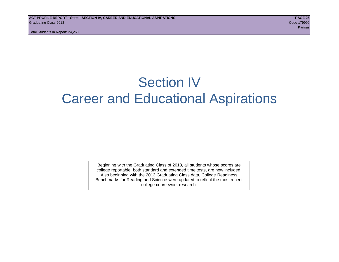# Section IV Career and Educational Aspirations

Beginning with the Graduating Class of 2013, all students whose scores are college reportable, both standard and extended time tests, are now included. Also beginning with the 2013 Graduating Class data, College Readiness Benchmarks for Reading and Science were updated to reflect the most recent college coursework research.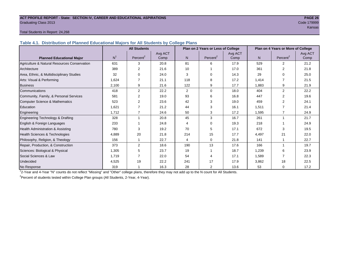#### **ACT PROFILE REPORT - State: SECTION IV, CAREER AND EDUCATIONAL ASPIRATIONS PAGE 26** Graduating Class 2013 Code 179999

ta kansas kansas kansas kansas kansas kansas kansas kansas kansas kansas kansas kansas kansas kansas kansas ka

#### Total Students in Report: 24,268

**Table 4.1. Distribution of Planned Educational Majors for All Students by College Plans**

|                                              |                | <b>All Students</b>  |         |                | Plan on 2 Years or Less of College |         | Plan on 4 Years or More of College |                      |         |  |
|----------------------------------------------|----------------|----------------------|---------|----------------|------------------------------------|---------|------------------------------------|----------------------|---------|--|
|                                              |                |                      | Avg ACT |                |                                    | Avg ACT |                                    |                      | Avg ACT |  |
| <b>Planned Educational Major</b>             | N <sup>1</sup> | Percent <sup>2</sup> | Comp    | N <sub>1</sub> | Percent <sup>2</sup>               | Comp    | N.                                 | Percent <sup>2</sup> | Comp    |  |
| Agriculture & Natural Resources Conservation | 631            | 3                    | 20.8    | 81             | 6                                  | 17.9    | 529                                | $\overline{2}$       | 21.2    |  |
| Architecture                                 | 389            | 2                    | 21.6    | 10             |                                    | 17.0    | 361                                | 2                    | 21.8    |  |
| Area, Ethnic, & Multidisciplinary Studies    | 32             | 0                    | 24.0    | 3              | $\Omega$                           | 14.3    | 29                                 | $\Omega$             | 25.0    |  |
| Arts: Visual & Performing                    | 1,624          |                      | 21.1    | 118            | 8                                  | 17.2    | 1,414                              |                      | 21.5    |  |
| <b>Business</b>                              | 2,100          | 9                    | 21.6    | 122            | 9                                  | 17.7    | 1,883                              | 9                    | 21.9    |  |
| Communications                               | 418            | $\overline{2}$       | 22.2    | $\overline{2}$ | $\Omega$                           | 18.0    | 404                                | $\overline{2}$       | 22.2    |  |
| Community, Family, & Personal Services       | 581            | 2                    | 19.0    | 93             | 6                                  | 16.8    | 447                                | 2                    | 19.6    |  |
| <b>Computer Science &amp; Mathematics</b>    | 523            | $\overline{2}$       | 23.6    | 42             | 3                                  | 19.0    | 459                                |                      | 24.1    |  |
| Education                                    | 1,621          |                      | 21.2    | 44             | 3                                  | 16.1    | 1,511                              |                      | 21.4    |  |
| Engineering                                  | 1,712          | $\overline{7}$       | 24.6    | 50             | 3                                  | 17.2    | 1,595                              |                      | 24.9    |  |
| Engineering Technology & Drafting            | 328            |                      | 20.8    | 45             | 3                                  | 16.7    | 261                                | 1                    | 21.7    |  |
| English & Foreign Languages                  | 233            |                      | 24.8    | 4              | $\Omega$                           | 19.3    | 218                                |                      | 24.9    |  |
| Health Administration & Assisting            | 780            | 3                    | 19.2    | 70             | 5                                  | 17.1    | 672                                | 3                    | 19.5    |  |
| Health Sciences & Technologies               | 4,889          | 20                   | 21.8    | 214            | 15                                 | 17.7    | 4,497                              | 21                   | 22.0    |  |
| Philosophy, Religion, & Theology             | 156            |                      | 22.7    | 4              | $\Omega$                           | 21.8    | 141                                |                      | 22.7    |  |
| Repair, Production, & Construction           | 373            | 2                    | 18.6    | 190            | 13                                 | 17.6    | 166                                |                      | 19.7    |  |
| Sciences: Biological & Physical              | 1,305          | 5                    | 23.7    | 19             |                                    | 18.7    | 1,239                              | 6                    | 23.9    |  |
| Social Sciences & Law                        | 1,719          |                      | 22.0    | 54             | 4                                  | 17.1    | 1,589                              |                      | 22.3    |  |
| Undecided                                    | 4,525          | 19                   | 22.2    | 241            | 17                                 | 17.9    | 3,862                              | 18                   | 22.5    |  |
| No Response                                  | 319            |                      | 16.3    | 28             | $\overline{2}$                     | 13.6    | 53                                 | 0                    | 17.2    |  |

1 2-Year and 4-Year "N" counts do not reflect "Missing" and "Other" college plans, therefore they may not add up to the N count for All Students.

<sup>2</sup> Percent of students tested within College Plan groups (All Students, 2-Year, 4-Year).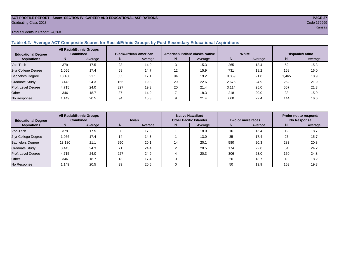#### **ACT PROFILE REPORT - State: SECTION IV, CAREER AND EDUCATIONAL ASPIRATIONS PAGE 27** Graduating Class 2013 Code 179999

#### Total Students in Report: 24,268

### **Table 4.2. Average ACT Composite Scores for Racial/Ethnic Groups by Post-Secondary Educational Aspirations**

| <b>Educational Degree</b> | <b>All Racial/Ethnic Groups</b><br><b>Combined</b> |         | <b>Black/African American</b> |         |    | American Indian/ Alaska Native |       | White   | Hispanic/Latino |         |  |
|---------------------------|----------------------------------------------------|---------|-------------------------------|---------|----|--------------------------------|-------|---------|-----------------|---------|--|
| <b>Aspirations</b>        | N.                                                 | Average | N.                            | Average | N. | Average                        | N     | Average | N.              | Average |  |
| Voc-Tech                  | 379                                                | 17.5    | 23                            | 14.0    |    | 15.3                           | 265   | 18.4    | 52              | 15.3    |  |
| 2-yr College Degree       | 1.056                                              | 17.4    | 68                            | 14.7    | 12 | 15.9                           | 731   | 18.2    | 168             | 16.0    |  |
| <b>Bachelors Degree</b>   | 13,180                                             | 21.1    | 635                           | 17.1    | 94 | 19.2                           | 9,859 | 21.8    | .465            | 18.9    |  |
| <b>Graduate Study</b>     | 3.443                                              | 24.3    | 156                           | 19.3    | 29 | 22.6                           | 2,675 | 24.9    | 252             | 21.9    |  |
| Prof. Level Degree        | 4.715                                              | 24.0    | 327                           | 19.3    | 20 | 21.4                           | 3.114 | 25.0    | 567             | 21.3    |  |
| Other                     | 346                                                | 18.7    | 37                            | 14.9    |    | 18.3                           | 218   | 20.0    | 38              | 15.9    |  |
| No Response               | 1.149                                              | 20.5    | 94                            | 15.3    |    | 21.4                           | 660   | 22.4    | 144             | 16.6    |  |

| <b>Educational Degree</b> | <b>All Racial/Ethnic Groups</b><br><b>Combined</b> |         | Asian |         |               | Native Hawaiian/<br><b>Other Pacific Islander</b> |     | Two or more races | Prefer not to respond/<br><b>No Response</b> |         |
|---------------------------|----------------------------------------------------|---------|-------|---------|---------------|---------------------------------------------------|-----|-------------------|----------------------------------------------|---------|
| <b>Aspirations</b>        | N                                                  | Average | N     | Average | N.<br>Average |                                                   | N.  | Average           | Ν                                            | Average |
| Voc-Tech                  | 379                                                | 17.5    |       | 17.3    |               | 18.0                                              | 16  | 15.4              | $12 \overline{ }$                            | 18.7    |
| 2-yr College Degree       | 1,056                                              | 17.4    | 14    | 14.3    |               | 13.0                                              | 35  | 17.4              | 27                                           | 15.7    |
| <b>Bachelors Degree</b>   | 13,180                                             | 21.1    | 250   | 20.1    | 14            | 20.1                                              | 580 | 20.3              | 283                                          | 20.8    |
| <b>Graduate Study</b>     | 3,443                                              | 24.3    | 74    | 24.4    |               | 28.5                                              | 174 | 22.8              | 84                                           | 24.2    |
| Prof. Level Degree        | 4,715                                              | 24.0    | 227   | 24.9    |               | 20.3                                              | 306 | 23.0              | 150                                          | 24.8    |
| Other                     | 346                                                | 18.7    | 13    | 17.4    |               |                                                   | 20  | 18.7              | 13                                           | 18.2    |
| No Response               | 1,149                                              | 20.5    | 39    | 20.5    |               |                                                   | 50  | 19.9              | 153                                          | 19.3    |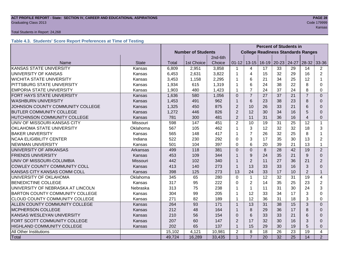# **ACT PROFILE REPORT - State: SECTION IV, CAREER AND EDUCATIONAL ASPIRATIONS PAGE 28** Graduating Class 2013 Code 179999

#### Total Students in Report: 24,268

# **Table 4.3. Students' Score Report Preferences at Time of Testing**

|                                        |                 | <b>Percent of Students in</b> |            |        |                |                                           |    |                 |                 |                |                |
|----------------------------------------|-----------------|-------------------------------|------------|--------|----------------|-------------------------------------------|----|-----------------|-----------------|----------------|----------------|
|                                        |                 | <b>Number of Students</b>     |            |        |                | <b>College Readiness Standards Ranges</b> |    |                 |                 |                |                |
|                                        |                 | 2nd-6th                       |            |        |                |                                           |    |                 |                 |                |                |
| Name                                   | <b>State</b>    | <b>Total</b>                  | 1st Choice | Choice | $01 - 12$      | $13 - 15$                                 |    | $16-19$ 20-23   | 24-27           | $28-32$        | 33-36          |
| <b>KANSAS STATE UNIVERSITY</b>         | Kansas          | 6,809                         | 2,951      | 3,858  | 1              | 4                                         | 17 | 33              | 29              | 14             | $\overline{2}$ |
| UNIVERSITY OF KANSAS                   | Kansas          | 6,453                         | 2,631      | 3,822  | 1              | 4                                         | 15 | 32              | 29              | 16             | $\overline{2}$ |
| <b>WICHITA STATE UNIVERSITY</b>        | Kansas          | 3,453                         | 1,158      | 2,295  | 1              | 6                                         | 21 | 34              | 25              | 12             | $\mathbf 1$    |
| PITTSBURG STATE UNIVERSITY             | Kansas          | 1,934                         | 615        | 1,319  | 1              | 6                                         | 24 | 38              | 22              | 8              | 0              |
| <b>EMPORIA STATE UNIVERSITY</b>        | Kansas          | 1,903                         | 480        | 1,423  | 1              | $\overline{7}$                            | 24 | 37              | 24              | 8              | 0              |
| FORT HAYS STATE UNIVERSITY             | Kansas          | 1,636                         | 580        | 1,056  | $\overline{0}$ | $\overline{7}$                            | 27 | 37              | 21              | $\overline{7}$ | $\Omega$       |
| <b>WASHBURN UNIVERSITY</b>             | Kansas          | 1,453                         | 491        | 962    | $\mathbf{1}$   | 6                                         | 23 | 38              | 23              | 8              | $\Omega$       |
| JOHNSON COUNTY COMMUNITY COLLEGE       | Kansas          | 1,325                         | 450        | 875    | $\overline{2}$ | 10                                        | 26 | 33              | 21              | 6              | $\Omega$       |
| <b>BUTLER COMMUNITY COLLEGE</b>        | Kansas          | 1,272                         | 446        | 826    | $\overline{2}$ | 12                                        | 30 | 34              | 16              | 5              | $\Omega$       |
| <b>HUTCHINSON COMMUNITY COLLEGE</b>    | Kansas          | 781                           | 300        | 481    | $\overline{2}$ | 11                                        | 31 | 36              | 16              | $\overline{4}$ | 0              |
| UNIV OF MISSOURI-KANSAS CITY           | Missouri        | 598                           | 147        | 451    | $\overline{2}$ | 10                                        | 19 | 31              | 25              | 12             | $\mathbf 1$    |
| OKLAHOMA STATE UNIVERSITY              | Oklahoma        | 567                           | 105        | 462    | 1              | 3                                         | 12 | 32              | 32              | 18             | 3              |
| <b>BAKER UNIVERSITY</b>                | Kansas          | 565                           | 148        | 417    | 1              | $\overline{7}$                            | 26 | 32              | 25              | 8              | 1              |
| <b>NCAA ELIGIBILITY CENTER</b>         | Indiana         | 522                           | 230        | 292    | $\Omega$       | 3                                         | 17 | 35              | 30              | 13             | $\overline{2}$ |
| <b>NEWMAN UNIVERSITY</b>               | Kansas          | 501                           | 104        | 397    | $\Omega$       | 6                                         | 20 | 39              | 21              | 13             | 1              |
| UNIVERSITY OF ARKANSAS                 | Arkansas        | 499                           | 118        | 381    | $\Omega$       | $\Omega$                                  | 8  | 28              | 42              | 19             | $\overline{2}$ |
| <b>FRIENDS UNIVERSITY</b>              | Kansas          | 453                           | 109        | 344    | 1              | 9                                         | 24 | 35              | 21              | 9              | $\Omega$       |
| UNIV OF MISSOURI-COLUMBIA              | <b>Missouri</b> | 442                           | 102        | 340    | 1              | $\overline{2}$                            | 11 | 27              | 36              | 21             | $\overline{2}$ |
| COWLEY COUNTY COMMUNITY COLL           | Kansas          | 413                           | 140        | 273    | $\mathbf{1}$   | 13                                        | 33 | 33              | 16              | 3              | 0              |
| KANSAS CITY KANSAS COMM COLL           | Kansas          | 398                           | 125        | 273    | 13             | 24                                        | 33 | 17              | 10              | $\overline{2}$ | $\mathbf{1}$   |
| UNIVERSITY OF OKLAHOMA                 | Oklahoma        | 345                           | 65         | 280    | $\mathbf 0$    | $\mathbf{1}$                              | 12 | 32              | 31              | 19             | 4              |
| <b>BENEDICTINE COLLEGE</b>             | Kansas          | 317                           | 95         | 222    | $\Omega$       | $\overline{2}$                            | 14 | 35              | 25              | 23             | $\overline{2}$ |
| UNIVERSITY OF NEBRASKA AT LINCOLN      | Nebraska        | 313                           | 75         | 238    | 1              | $\mathbf{1}$                              | 11 | 31              | 30              | 24             | 3              |
| <b>BARTON COUNTY COMMUNITY COLLEGE</b> | Kansas          | 304                           | 99         | 205    | 1              | 12                                        | 33 | 34              | 17              | 3              | $\Omega$       |
| CLOUD COUNTY COMMUNITY COLLEGE         | Kansas          | 271                           | 82         | 189    | 1              | 12                                        | 36 | 31              | 18              | 3              | $\Omega$       |
| ALLEN COUNTY COMMUNITY COLLEGE         | Kansas          | 264                           | 93         | 171    | $\mathbf{1}$   | 13                                        | 31 | 38              | 15              | 3              | $\Omega$       |
| MCPHERSON COLLEGE                      | Kansas          | 212                           | 48         | 164    | $\mathbf 1$    | 8                                         | 29 | 36              | 17              | 8              | $\Omega$       |
| KANSAS WESLEYAN UNIVERSITY             | Kansas          |                               | 56         | 154    | $\Omega$       | 6                                         | 33 | 33              | 21              | 6              | $\Omega$       |
| FORT SCOTT COMMUNITY COLLEGE           | Kansas          |                               | 60         | 147    | $\overline{2}$ | 17                                        | 32 | 30              | 16              | 3              | $\Omega$       |
| HIGHLAND COMMUNITY COLLEGE             | Kansas          | 202                           | 65         | 137    | $\mathbf{1}$   | 15                                        | 29 | 30              | 19              | 5              | 0              |
| All Other Institutions                 |                 | 15,102                        | 4,121      | 10,981 | $\overline{2}$ | 8                                         | 18 | 26              | 23              | 19             | 4              |
| Total                                  |                 | 49,724                        | 16,289     | 33,435 | $\mathbf{1}$   | $\overline{7}$                            | 20 | $\overline{32}$ | $\overline{25}$ | 14             | 2              |

Kansas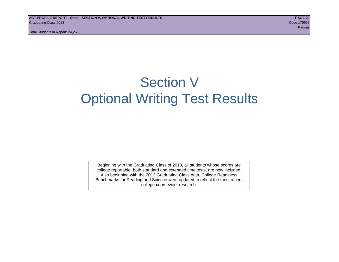# Section V Optional Writing Test Results

Beginning with the Graduating Class of 2013, all students whose scores are college reportable, both standard and extended time tests, are now included. Also beginning with the 2013 Graduating Class data, College Readiness Benchmarks for Reading and Science were updated to reflect the most recent college coursework research.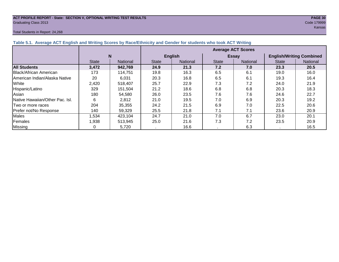#### **ACT PROFILE REPORT - State: SECTION V, OPTIONAL WRITING TEST RESULTS PAGE 30** Graduating Class 2013 Code 179999

#### Total Students in Report: 24,268

ta bahasa di kabupatèn Kansas di Kabupatèn Kansas di Kabupatèn Kansas di Kansas Kansas Kansas

| Table 5.1. Average ACT English and Writing Scores by Race/Ethnicity and Gender for students who took ACT Writing |              |          |                           |                 |              |                 |                                 |          |  |  |  |
|------------------------------------------------------------------------------------------------------------------|--------------|----------|---------------------------|-----------------|--------------|-----------------|---------------------------------|----------|--|--|--|
|                                                                                                                  |              |          | <b>Average ACT Scores</b> |                 |              |                 |                                 |          |  |  |  |
|                                                                                                                  |              | N        |                           | <b>English</b>  |              | <b>Essay</b>    | <b>English/Writing Combined</b> |          |  |  |  |
|                                                                                                                  | <b>State</b> | National | <b>State</b>              | <b>National</b> | <b>State</b> | <b>National</b> | <b>State</b>                    | National |  |  |  |
| <b>All Students</b>                                                                                              | 3,472        | 942,769  | 24.9                      | 21.3            | 7.2          | 7.0             | 23.3                            | 20.5     |  |  |  |
| Black/African American                                                                                           | 173          | 114,751  | 19.8                      | 16.3            | 6.5          | 6.1             | 19.0                            | 16.0     |  |  |  |
| <b>American Indian/Alaska Native</b>                                                                             | 20           | 6.031    | 20.3                      | 16.8            | 6.5          | 6.1             | 19.3                            | 16.4     |  |  |  |
| White                                                                                                            | 2,420        | 518.407  | 25.7                      | 22.9            | 7.3          | 7.2             | 24.0                            | 21.9     |  |  |  |
| Hispanic/Latino                                                                                                  | 329          | 151.504  | 21.2                      | 18.6            | 6.8          | 6.8             | 20.3                            | 18.3     |  |  |  |
| Asian                                                                                                            | 180          | 54,580   | 26.0                      | 23.5            | 7.6          | 7.6             | 24.6                            | 22.7     |  |  |  |
| Native Hawaiian/Other Pac. Isl.                                                                                  | 6            | 2,812    | 21.0                      | 19.5            | 7.0          | 6.9             | 20.3                            | 19.2     |  |  |  |
| Two or more races                                                                                                | 204          | 35,355   | 24.2                      | 21.5            | 6.9          | 7.0             | 22.5                            | 20.6     |  |  |  |
| Prefer not/No Response                                                                                           | 140          | 59,329   | 25.5                      | 21.8            | 7.1          | 7.1             | 23.6                            | 20.9     |  |  |  |
| Males                                                                                                            | 534, ا       | 423,104  | 24.7                      | 21.0            | 7.0          | 6.7             | 23.0                            | 20.1     |  |  |  |
| Females                                                                                                          | l.938        | 513,945  | 25.0                      | 21.6            | 7.3          | 7.2             | 23.5                            | 20.9     |  |  |  |
| <b>Missing</b>                                                                                                   |              | 5,720    |                           | 16.6            |              | 6.3             |                                 | 16.5     |  |  |  |